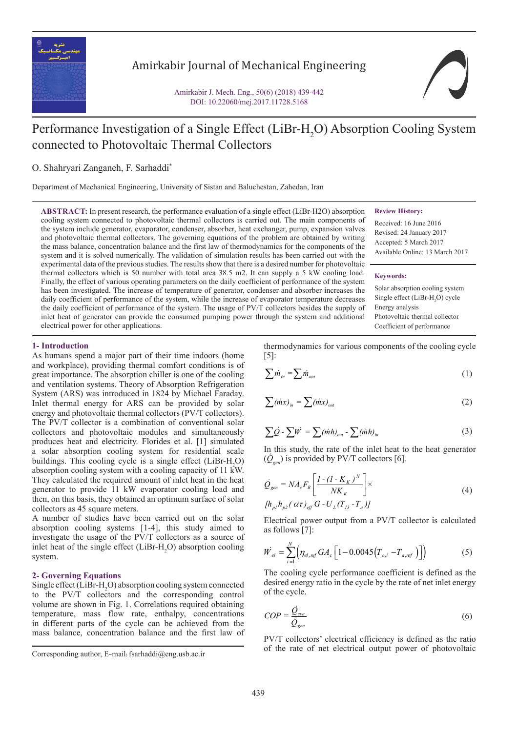

# Amirkabir Journal of Mechanical Engineering *11 12 13 m =m =m =m*

Amirkabir J. Mech. Eng., 50(6) (2018) 439-442 DOI: 10.22060/mej.2017.11728.5168



# Performance Investigation of a Single Effect (LiBr-H<sub>2</sub>O) Absorption Cooling System connected to Photovoltaic Thermal Collectors  $\sim$  $\mathcal{L}$   $\mathcal{L}$   $\mathcal{L}$   $\mathcal{L}$   $\mathcal{L}$   $\mathcal{L}$   $\mathcal{L}$   $\mathcal{L}$   $\mathcal{L}$   $\mathcal{L}$   $\mathcal{L}$   $\mathcal{L}$   $\mathcal{L}$   $\mathcal{L}$   $\mathcal{L}$   $\mathcal{L}$   $\mathcal{L}$   $\mathcal{L}$   $\mathcal{L}$   $\mathcal{L}$   $\mathcal{L}$   $\mathcal{L}$   $\mathcal{L}$   $\mathcal{L}$   $\mathcal{$

*gen*

 $\overline{a}$ 

O. Shahryari Zanganeh, F. Sarhaddi\*

Department of Mechanical Engineering, University of Sistan and Baluchestan, Zahedan, Iran 1 2 *m m p mC*

**ABSTRACT:** In present research, the performance evaluation of a single effect (LiBr-H2O) absorption cooling system connected to photovoltaic thermal collectors is carried out. The main components of ABSTRACT: In present research, the performance evaluation of a single effect (LiBr-H2O) absorption cooling system connected to photovoltaic thermal collectors is carried out. The main components of cooling system connected to photovolitate thermal concertors is carried out. The main components of<br>the system include generator, evaporator, condenser, absorber, heat exchanger, pump, expansion valves<br>dependence of *pump* and photovoltaic thermal collectors. The governing equations of the problem are obtained by writing and photovoltaic thermal collectors. The governing equations of the problem are obtained by writing the mass balance, concentration balance and the first law of thermodynamics for the components of the system and it is solved numerically. The validation of simulation results has been carried out with the <sup>Avanaoie</sup> Online: 1 Experimental data of the previous studies. The reality of including results has been carried out with the<br>experimental data of the previous studies. The results show that there is a desired number for photovoltaic<br>thermal thermal collectors which is 50 number with total area 38.5 m2. It can supply a 5 kW cooling load.  $K_{\text{e} \text{v} \text{w} \text{or} \text{d} \text{s}}$ . Finally, the effect of various operating parameters on the daily coefficient of performance of the system Finally, the effect of various operating parameters on the daily coefficient of performance of the system<br>has been investigated. The increase of temperature of generator, condenser and absorber increases the<br>daily coeffici daily coefficient of performance of the system, while the increase of evaporator temperature decreases the daily coefficient of performance of the system, while the increase of evaporator temperature decreases the daily coefficient of performance of the system. The usage of PV/T collectors besides the supply of inlet heat of generator can provide the consumed pumping power through the system and additional additional solve for other applications. electrical power for other applications. *<sup>Q</sup> å = = 1 - exp(-NTU) <sup>Q</sup>*

### **Review History:**

*N*

Received: 16 June 2016 Revised: 24 January 2017 Accepted: 5 March 2017 Available Online: 13 March 2017

#### **Keywords:**

Solar absorption cooling system Single effect ( $LiBr-H<sub>2</sub>O$ ) cycle Energy analysis Photovoltaic thermal collector Coefficient of performance

f

# **1- Introduction**

As humans spend a major part of their time indoors (home and workplace), providing thermal comfort conditions is of great importance. The absorption chiller is one of the cooling and ventilation systems. Theory of Absorption Refrigeration System (ARS) was introduced in 1824 by Michael Faraday. Inlet thermal energy for ARS can be provided by solar energy and photovoltaic thermal collectors (PV/T collectors). The PV/T collector is a combination of conventional solar collectors and photovoltaic modules and simultaneously produces heat and electricity. Florides et al. [1] simulated a solar absorption cooling system for residential scale buildings. This cooling cycle is a single effect  $(LiBr-H<sub>2</sub>O)$ absorption cooling system with a cooling capacity of 11 kW. They calculated the required amount of inlet heat in the heat generator to provide 11 kW evaporator cooling load and then, on this basis, they obtained an optimum surface of solar collectors as 45 square meters.

A number of studies have been carried out on the solar absorption cooling systems [1-4], this study aimed to investigate the usage of the PV/T collectors as a source of inlet heat of the single effect  $(LiBr-H_2O)$  absorption cooling system.

# **2- Governing Equations**

Single effect  $(LiBr-H_2O)$  absorption cooling system connected to the PV/T collectors and the corresponding control volume are shown in Fig. 1. Correlations required obtaining temperature, mass flow rate, enthalpy, concentrations in different parts of the cycle can be achieved from the mass balance, concentration balance and the first law of

thermodynamics for various components of the cooling cycle  $[5]$ :  $\mathbf{r}$ 

$$
\sum \dot{m}_{in} = \sum \dot{m}_{out} \tag{1}
$$

$$
\sum (\dot{m}x)_{in} = \sum (\dot{m}x)_{out} \tag{2}
$$

$$
\sum \dot{Q} - \sum W = \sum (\dot{m}h)_{out} - \sum (\dot{m}h)_{in}
$$
 (3)

*9 m*  $(\dot{Q}_{gen})$  is provided by PV/T collectors [6]. In this study, the rate of the inlet heat to the heat generator  $\left(\frac{1}{2}, \frac{1}{2}\right)$  $(\dot{Q}_{\text{grav}})$  is provi

$$
\dot{Q}_{gen} = N A_c F_R \left[ \frac{I - (I - K_K)^N}{NK_K} \right] \times
$$
\n
$$
\left[ h_{pl} h_{p2} (\alpha \tau)_{eff} G - U_L (T_{13} - T_a) \right]
$$
\n(4)

*abs 1 1 10 10 6 6 Q =m h -m h -m h abs 1 1 10 10 6 6 Q =m h -m h -m h Q =m h -m h -m h cR L AFU K =* as follows [7]:  $[h_{p1}h_{p2}(\alpha\tau)_{\text{eff}} G - U_{L}(T_{13} - T_{a})]$ <br>Electrical power output from a PV/T collector is calculated<br>as follows [7]. *abs 1 1 10 10 6 6 i*cal po

$$
\dot{W}_{el} = \sum_{i=1}^{N} \Big( \eta_{el, ref} G A_c \Big[ 1 - 0.0045 \Big( T_{c,i} - T_{a, ref} \Big) \Big] \Big)
$$
(5)

*<u>asired</u> energy ratio in the cyc* The cooling cycle performance coefficient is defined as the<br>desired energy ratio in the cycle by the rate of net inlet energy<br>of the cycle. *3 abs L gen abs 3 abs L gen abs T = T + E (T -T ) x C* of the cycle. *i =1* The cooling cycle performance coefficient is defined as the desired energy ratio in the cycle by the rate of net inlet energy

$$
COP = \frac{\dot{Q}_{eva}}{\dot{Q}_{gen}} \tag{6}
$$

PV/I collectors' electrical efficiency is defined as the ratio<br>Corresponding author, E-mail: fsarhaddi@eng.usb.ac.ir<br>Corresponding author, E-mail: fsarhaddi@eng.usb.ac.ir *PV/T* collectors' electrical efficiency is defined as the ratio of the rate of net electrical output power of photovoltaic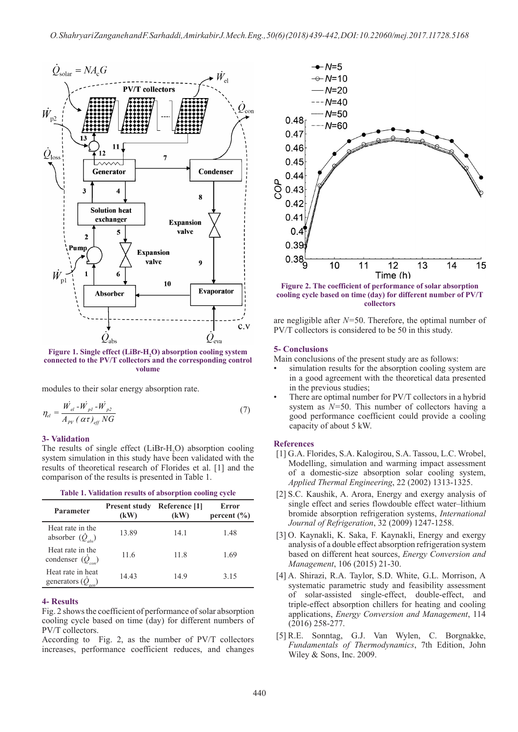

 **connected to the PV/T collectors and the corresponding control**  Figure 1. Single effect (LiBr-H<sub>2</sub>O) absorption cooling system **volume**

modules to their solar energy absorption rate.

$$
\eta_{el} = \frac{\dot{W_{el}} - \dot{W_{pl}} - \dot{W_{pl}}}{A_{PV} (\alpha \tau)_{eff} NG}
$$
\n(7)

#### **3- Validation**

The results of single effect (LiBr-H<sub>2</sub>O) absorption cooling  $\frac{1}{2}$   $\frac{1}{2}$   $\frac{1}{2}$   $\frac{1}{2}$   $\frac{1}{2}$   $\frac{1}{2}$   $\frac{1}{2}$   $\frac{1}{2}$   $\frac{1}{2}$   $\frac{1}{2}$   $\frac{1}{2}$   $\frac{1}{2}$   $\frac{1}{2}$   $\frac{1}{2}$   $\frac{1}{2}$   $\frac{1}{2}$   $\frac{1}{2}$   $\frac{1}{2}$   $\frac{1}{2}$   $\frac{1}{2}$   $\frac{1}{2}$   $\frac{1}{2}$  *Free results* of single effect (*LIBr-H<sub>2</sub>O*) absorption cooling system simulation in this study have been validated with the results of theoretical research of Florides et al. [1] and the comparison of the results is presented in Table 1.

| Parameter                                              | <b>Present study</b><br>(kW) | Reference [1]<br>(kW) | Error<br>percent $(\% )$ |
|--------------------------------------------------------|------------------------------|-----------------------|--------------------------|
| Heat rate in the<br>absorber $(\dot{Q}_{abc})$         | 13.89                        | 14.1                  | 1.48                     |
| Heat rate in the<br>condenser $(\dot{Q}_{\text{cor}})$ | 11.6                         | 11.8                  | 1.69                     |
| Heat rate in heat<br>generators $(Q)$                  | 14.43                        | 14.9                  | 3.15                     |

#### **Table 1. Validation results of absorption cooling cycle**

#### **4- Results**

Fig. 2 shows the coefficient of performance of solar absorption cooling cycle based on time (day) for different numbers of PV/T collectors.

According to Fig. 2, as the number of PV/T collectors increases, performance coefficient reduces, and changes



**Figure 2. The coefficient of performance of solar absorption cooling cycle based on time (day) for different number of PV/T collectors**

are negligible after *N=*50. Therefore, the optimal number of PV/T collectors is considered to be 50 in this study.

# **5- Conclusions**

Main conclusions of the present study are as follows:

- simulation results for the absorption cooling system are in a good agreement with the theoretical data presented in the previous studies;
- There are optimal number for PV/T collectors in a hybrid system as *N=*50. This number of collectors having a good performance coefficient could provide a cooling capacity of about 5 kW.

#### **References**

- [1] G.A. Florides, S.A. Kalogirou, S.A. Tassou, L.C. Wrobel, Modelling, simulation and warming impact assessment of a domestic-size absorption solar cooling system, *Applied Thermal Engineering*, 22 (2002) 1313-1325.
- [2] S.C. Kaushik, A. Arora, Energy and exergy analysis of single effect and series flowdouble effect water–lithium bromide absorption refrigeration systems, *International Journal of Refrigeration*, 32 (2009) 1247-1258.
- [3] O. Kaynakli, K. Saka, F. Kaynakli, Energy and exergy analysis of a double effect absorption refrigeration system based on different heat sources, *Energy Conversion and Management*, 106 (2015) 21-30.
- [4] A. Shirazi, R.A. Taylor, S.D. White, G.L. Morrison, A systematic parametric study and feasibility assessment of solar-assisted single-effect, double-effect, and triple-effect absorption chillers for heating and cooling applications, *Energy Conversion and Management*, 114 (2016) 258-277.
- [5] R.E. Sonntag, G.J. Van Wylen, C. Borgnakke, *Fundamentals of Thermodynamics*, 7th Edition, John Wiley & Sons, Inc. 2009.